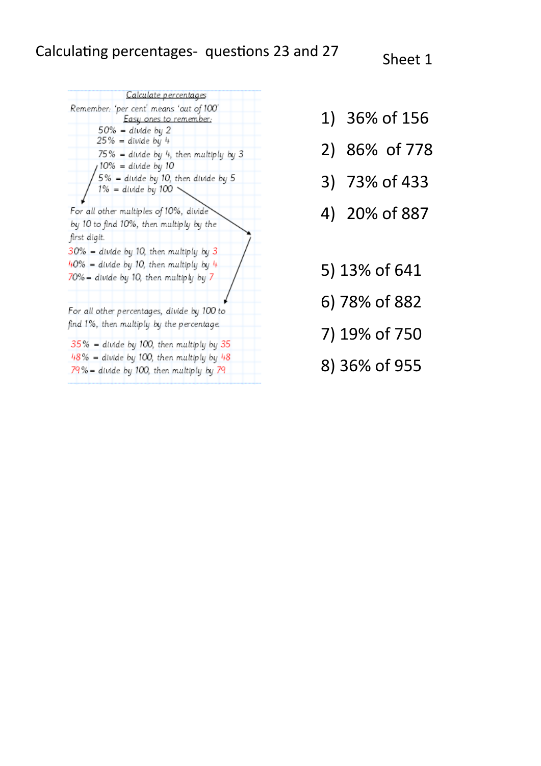Calculate percentages Remember: 'per cent' means 'out of 100' Easy ones to remember:  $50\%$  = divide by 2  $25%$  = divide by 4  $75\%$  = divide by 4, then multiply by 3  $10\%$  = divide by 10  $5\%$  = divide by 10, then divide by 5  $1\%$  = divide by  $100$ For all other multiples of 10%, divide by 10 to find 10%, then multiply by the first digit.  $30\%$  = divide by 10, then multiply by 3  $40\%$  = divide by 10, then multiply by  $4$ 70% = divide by 10, then multiply by 7 For all other percentages, divide by 100 to find 1%, then multiply by the percentage.  $35\%$  = divide by 100, then multiply by 35  $48\%$  = divide by 100, then multiply by  $48$  $79\%$  = divide by 100, then multiply by  $79$ 

- 1) 36% of 156
- 2) 86% of 778
- 3) 73% of 433
- 4) 20% of 887
- 5) 13% of 641
- 6) 78% of 882
- 7) 19% of 750
- 8) 36% of 955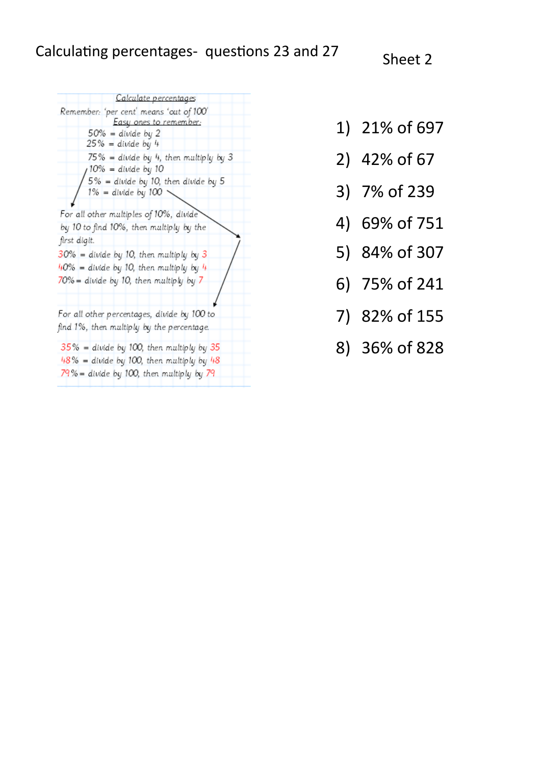Calculate percentages Remember: 'per cent' means 'out of 100' Easy ones to remember.  $50\%$  = divide by 2  $25\%$  = divide by 4  $75\%$  = divide by 4, then multiply by 3  $10\% = \text{divide by } 10$  $5\%$  = divide by 10, then divide by 5  $1\%$  = divide by  $100$ For all other multiples of 10%, divide by 10 to find 10%, then multiply by the first digit.  $30\%$  = divide by 10, then multiply by 3  $40\%$  = divide by 10, then multiply by 4 70% = divide by 10, then multiply by 7 For all other percentages, divide by 100 to find 1%, then multiply by the percentage.  $35\%$  = divide by 100, then multiply by 35  $48\%$  = divide by 100, then multiply by  $48$  $79\%$  = divide by 100, then multiply by  $79$ 

- 1) 21% of 697
- 2) 42% of 67
- 3) 7% of 239
- 4) 69% of 751
- 5) 84% of 307
- 6) 75% of 241
- 7) 82% of 155
- 8) 36% of 828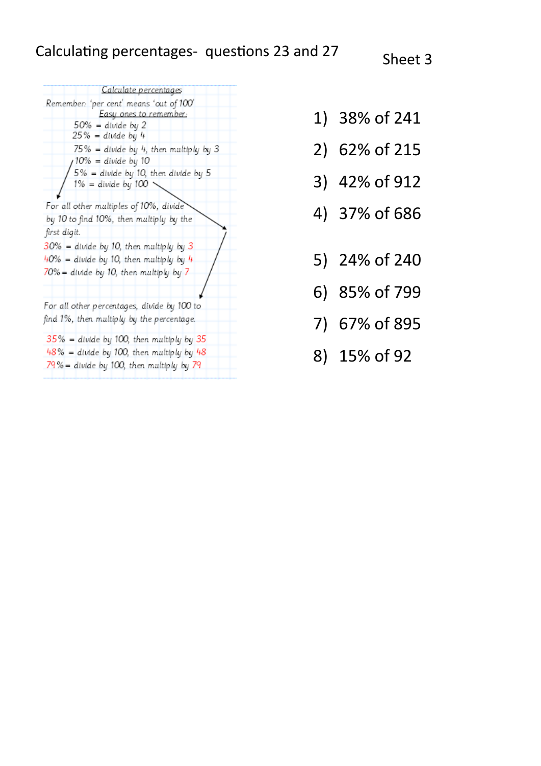## Calculating percentages- questions 23 and 27 Sheet 3



- 1) 38% of 241
- 2) 62% of 215
- 3) 42% of 912
- 4) 37% of 686
- 5) 24% of 240
- 6) 85% of 799
- 7) 67% of 895
- 8) 15% of 92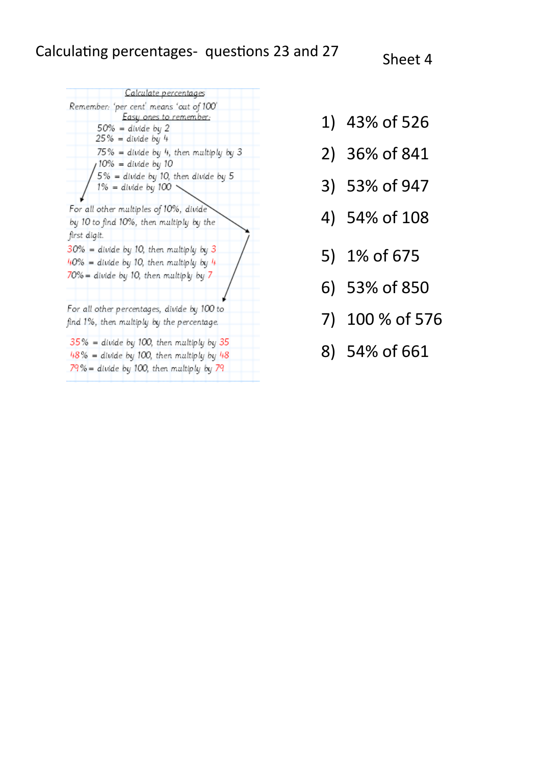Calculate percentages Remember: 'per cent' means 'out of 100 Easy ones to remember;  $50\%$  = divide by 2  $25\%$  = divide by 4  $75\%$  = divide by 4, then multiply by 3  $10\%$  = divide by 10  $5\%$  = divide by 10, then divide by 5  $1\%$  = divide by  $100$ For all other multiples of 10%, divide by 10 to find 10%, then multiply by the first digit.  $30\%$  = divide by 10, then multiply by 3  $40\%$  = divide by 10, then multiply by  $4$  $70%$  = divide by 10, then multiply by 7 For all other percentages, divide by 100 to find 1%, then multiply by the percentage.  $35\%$  = divide by 100, then multiply by 35  $48\%$  = divide by 100, then multiply by  $48$ 79% = divide by 100, then multiply by 79

- 1) 43% of 526
- 2) 36% of 841
- 3) 53% of 947
- 4) 54% of 108
- 5) 1% of 675
- 6) 53% of 850
- 7) 100 % of 576
- 8) 54% of 661